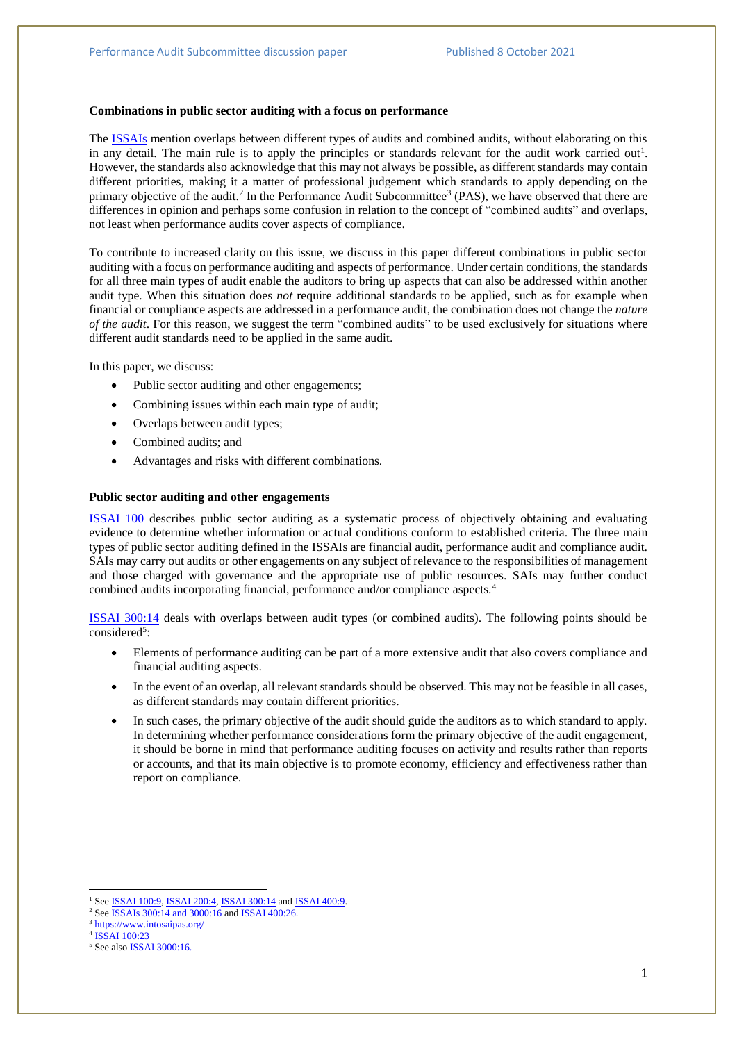### **Combinations in public sector auditing with a focus on performance**

The [ISSAIs](https://www.issai.org/professional-pronouncements/) mention overlaps between different types of audits and combined audits, without elaborating on this in any detail. The main rule is to apply the principles or standards relevant for the audit work carried out<sup>1</sup>. However, the standards also acknowledge that this may not always be possible, as different standards may contain different priorities, making it a matter of professional judgement which standards to apply depending on the primary objective of the audit.<sup>2</sup> In the Performance Audit Subcommittee<sup>3</sup> (PAS), we have observed that there are differences in opinion and perhaps some confusion in relation to the concept of "combined audits" and overlaps, not least when performance audits cover aspects of compliance.

To contribute to increased clarity on this issue, we discuss in this paper different combinations in public sector auditing with a focus on performance auditing and aspects of performance. Under certain conditions, the standards for all three main types of audit enable the auditors to bring up aspects that can also be addressed within another audit type. When this situation does *not* require additional standards to be applied, such as for example when financial or compliance aspects are addressed in a performance audit, the combination does not change the *nature of the audit*. For this reason, we suggest the term "combined audits" to be used exclusively for situations where different audit standards need to be applied in the same audit.

In this paper, we discuss:

- Public sector auditing and other engagements;
- Combining issues within each main type of audit;
- Overlaps between audit types;
- Combined audits; and
- Advantages and risks with different combinations.

### **Public sector auditing and other engagements**

[ISSAI 100](https://www.issai.org/professional-pronouncements/?n=100-129) describes public sector auditing as a systematic process of objectively obtaining and evaluating evidence to determine whether information or actual conditions conform to established criteria. The three main types of public sector auditing defined in the ISSAIs are financial audit, performance audit and compliance audit. SAIs may carry out audits or other engagements on any subject of relevance to the responsibilities of management and those charged with governance and the appropriate use of public resources. SAIs may further conduct combined audits incorporating financial, performance and/or compliance aspects.<sup>4</sup>

[ISSAI 300:14](https://www.issai.org/professional-pronouncements/?n=300-399) deals with overlaps between audit types (or combined audits). The following points should be considered<sup>5</sup>:

- Elements of performance auditing can be part of a more extensive audit that also covers compliance and financial auditing aspects.
- In the event of an overlap, all relevant standards should be observed. This may not be feasible in all cases, as different standards may contain different priorities.
- In such cases, the primary objective of the audit should guide the auditors as to which standard to apply. In determining whether performance considerations form the primary objective of the audit engagement, it should be borne in mind that performance auditing focuses on activity and results rather than reports or accounts, and that its main objective is to promote economy, efficiency and effectiveness rather than report on compliance.

<sup>3</sup> <https://www.intosaipas.org/>

**.** 

<sup>&</sup>lt;sup>1</sup> See **ISSAI** 100:9, **ISSAI** 200:4, **ISSAI** 300:14 and **ISSAI** 400:9.

<sup>&</sup>lt;sup>2</sup> See **ISSAIs** 300:14 and [3000:16](https://www.issai.org/professional-pronouncements/?action=filtro&ptype=pronouncements&ppp=-1&orderby=meta_value_num&order=ASC&language=english&taxquery%5Bterm%5D%5B0%5D=intosai-standards&taxquery%5Bterm%5D%5B1%5D=performance&taxquery%5Bterm%5D%5B2%5D&taxquery%5Btaxonomy%5D%5B0%5D=category_pronouncements&taxquery%5Btaxonomy%5D%5B1%5D=engagement&taxquery%5Btaxonomy%5D%5B2%5D=themes&se) and **ISSAI** [400:26.](https://www.issai.org/professional-pronouncements/?n=400-499)

<sup>4</sup> [ISSAI 100:23](https://www.issai.org/professional-pronouncements/?n=100-129)

<sup>&</sup>lt;sup>5</sup> See also **ISSAI** 3000:16.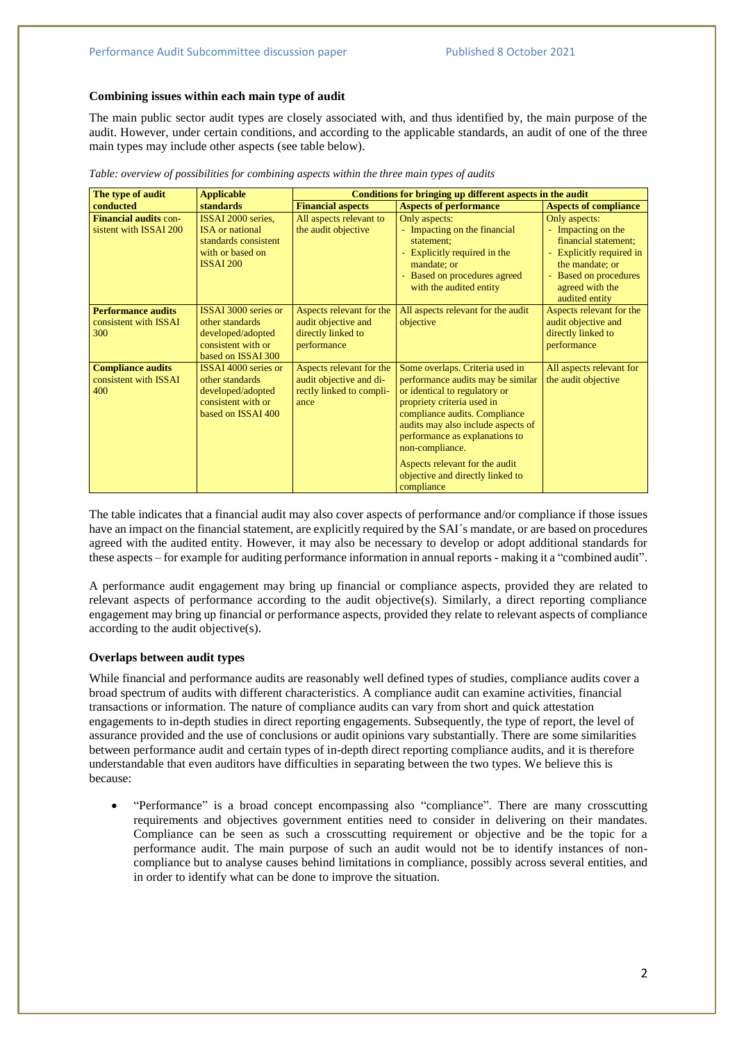### **Combining issues within each main type of audit**

The main public sector audit types are closely associated with, and thus identified by, the main purpose of the audit. However, under certain conditions, and according to the applicable standards, an audit of one of the three main types may include other aspects (see table below).

| The type of audit                                         | <b>Applicable</b>                                                                                               | Conditions for bringing up different aspects in the audit                               |                                                                                                                                                                                                                                                                                                                                                     |                                                                                                                                                                          |
|-----------------------------------------------------------|-----------------------------------------------------------------------------------------------------------------|-----------------------------------------------------------------------------------------|-----------------------------------------------------------------------------------------------------------------------------------------------------------------------------------------------------------------------------------------------------------------------------------------------------------------------------------------------------|--------------------------------------------------------------------------------------------------------------------------------------------------------------------------|
| conducted                                                 | <b>standards</b>                                                                                                | <b>Financial aspects</b>                                                                | <b>Aspects of performance</b>                                                                                                                                                                                                                                                                                                                       | <b>Aspects of compliance</b>                                                                                                                                             |
| <b>Financial audits con-</b><br>sistent with ISSAI 200    | ISSAI 2000 series,<br><b>ISA</b> or national<br>standards consistent<br>with or based on<br>ISSAI 200           | All aspects relevant to<br>the audit objective                                          | Only aspects:<br>- Impacting on the financial<br>statement;<br>- Explicitly required in the<br>mandate; or<br>- Based on procedures agreed<br>with the audited entity                                                                                                                                                                               | Only aspects:<br>- Impacting on the<br>financial statement;<br>- Explicitly required in<br>the mandate; or<br>- Based on procedures<br>agreed with the<br>audited entity |
| <b>Performance audits</b><br>consistent with ISSAI<br>300 | <b>ISSAI 3000 series or</b><br>other standards<br>developed/adopted<br>consistent with or<br>based on ISSAI 300 | Aspects relevant for the<br>audit objective and<br>directly linked to<br>performance    | All aspects relevant for the audit<br>objective                                                                                                                                                                                                                                                                                                     | Aspects relevant for the<br>audit objective and<br>directly linked to<br>performance                                                                                     |
| <b>Compliance audits</b><br>consistent with ISSAI<br>400  | ISSAI 4000 series or<br>other standards<br>developed/adopted<br>consistent with or<br>based on ISSAI 400        | Aspects relevant for the<br>audit objective and di-<br>rectly linked to compli-<br>ance | Some overlaps. Criteria used in<br>performance audits may be similar<br>or identical to regulatory or<br>propriety criteria used in<br>compliance audits. Compliance<br>audits may also include aspects of<br>performance as explanations to<br>non-compliance.<br>Aspects relevant for the audit<br>objective and directly linked to<br>compliance | All aspects relevant for<br>the audit objective                                                                                                                          |

*Table: overview of possibilities for combining aspects within the three main types of audits*

The table indicates that a financial audit may also cover aspects of performance and/or compliance if those issues have an impact on the financial statement, are explicitly required by the SAI´s mandate, or are based on procedures agreed with the audited entity. However, it may also be necessary to develop or adopt additional standards for these aspects – for example for auditing performance information in annual reports - making it a "combined audit".

A performance audit engagement may bring up financial or compliance aspects, provided they are related to relevant aspects of performance according to the audit objective(s). Similarly, a direct reporting compliance engagement may bring up financial or performance aspects, provided they relate to relevant aspects of compliance according to the audit objective(s).

# **Overlaps between audit types**

While financial and performance audits are reasonably well defined types of studies, compliance audits cover a broad spectrum of audits with different characteristics. A compliance audit can examine activities, financial transactions or information. The nature of compliance audits can vary from short and quick attestation engagements to in-depth studies in direct reporting engagements. Subsequently, the type of report, the level of assurance provided and the use of conclusions or audit opinions vary substantially. There are some similarities between performance audit and certain types of in-depth direct reporting compliance audits, and it is therefore understandable that even auditors have difficulties in separating between the two types. We believe this is because:

 "Performance" is a broad concept encompassing also "compliance". There are many crosscutting requirements and objectives government entities need to consider in delivering on their mandates. Compliance can be seen as such a crosscutting requirement or objective and be the topic for a performance audit. The main purpose of such an audit would not be to identify instances of noncompliance but to analyse causes behind limitations in compliance, possibly across several entities, and in order to identify what can be done to improve the situation.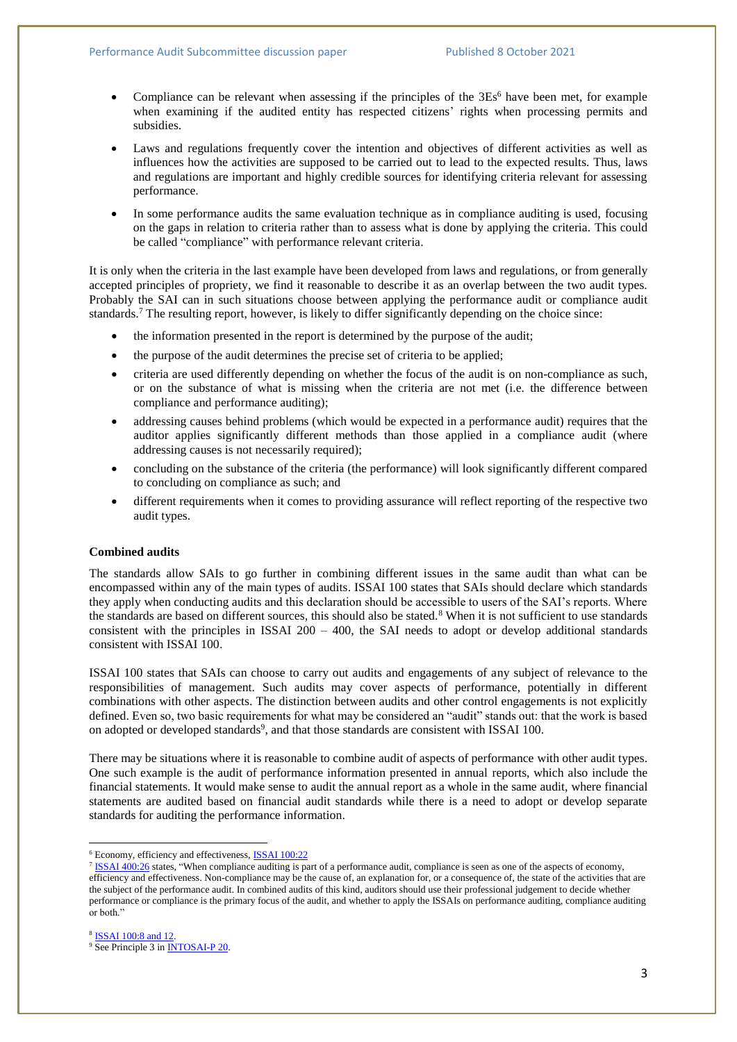- Compliance can be relevant when assessing if the principles of the 3Es<sup>6</sup> have been met, for example when examining if the audited entity has respected citizens' rights when processing permits and subsidies.
- Laws and regulations frequently cover the intention and objectives of different activities as well as influences how the activities are supposed to be carried out to lead to the expected results. Thus, laws and regulations are important and highly credible sources for identifying criteria relevant for assessing performance.
- In some performance audits the same evaluation technique as in compliance auditing is used, focusing on the gaps in relation to criteria rather than to assess what is done by applying the criteria. This could be called "compliance" with performance relevant criteria.

It is only when the criteria in the last example have been developed from laws and regulations, or from generally accepted principles of propriety, we find it reasonable to describe it as an overlap between the two audit types. Probably the SAI can in such situations choose between applying the performance audit or compliance audit standards. <sup>7</sup> The resulting report, however, is likely to differ significantly depending on the choice since:

- the information presented in the report is determined by the purpose of the audit;
- the purpose of the audit determines the precise set of criteria to be applied;
- criteria are used differently depending on whether the focus of the audit is on non-compliance as such, or on the substance of what is missing when the criteria are not met (i.e. the difference between compliance and performance auditing);
- addressing causes behind problems (which would be expected in a performance audit) requires that the auditor applies significantly different methods than those applied in a compliance audit (where addressing causes is not necessarily required);
- concluding on the substance of the criteria (the performance) will look significantly different compared to concluding on compliance as such; and
- different requirements when it comes to providing assurance will reflect reporting of the respective two audit types.

# **Combined audits**

The standards allow SAIs to go further in combining different issues in the same audit than what can be encompassed within any of the main types of audits. ISSAI 100 states that SAIs should declare which standards they apply when conducting audits and this declaration should be accessible to users of the SAI's reports. Where the standards are based on different sources, this should also be stated.<sup>8</sup> When it is not sufficient to use standards consistent with the principles in ISSAI  $200 - 400$ , the SAI needs to adopt or develop additional standards consistent with ISSAI 100.

ISSAI 100 states that SAIs can choose to carry out audits and engagements of any subject of relevance to the responsibilities of management. Such audits may cover aspects of performance, potentially in different combinations with other aspects. The distinction between audits and other control engagements is not explicitly defined. Even so, two basic requirements for what may be considered an "audit" stands out: that the work is based on adopted or developed standards<sup>9</sup>, and that those standards are consistent with ISSAI 100.

There may be situations where it is reasonable to combine audit of aspects of performance with other audit types. One such example is the audit of performance information presented in annual reports, which also include the financial statements. It would make sense to audit the annual report as a whole in the same audit, where financial statements are audited based on financial audit standards while there is a need to adopt or develop separate standards for auditing the performance information.

**.** 

<sup>6</sup> Economy, efficiency and effectiveness[, ISSAI 100:22](https://www.issai.org/professional-pronouncements/?n=100-129)

<sup>&</sup>lt;sup>7</sup> [ISSAI 400:26](https://www.issai.org/professional-pronouncements/?n=400-499) states, "When compliance auditing is part of a performance audit, compliance is seen as one of the aspects of economy, efficiency and effectiveness. Non-compliance may be the cause of, an explanation for, or a consequence of, the state of the activities that are the subject of the performance audit. In combined audits of this kind, auditors should use their professional judgement to decide whether performance or compliance is the primary focus of the audit, and whether to apply the ISSAIs on performance auditing, compliance auditing or both."